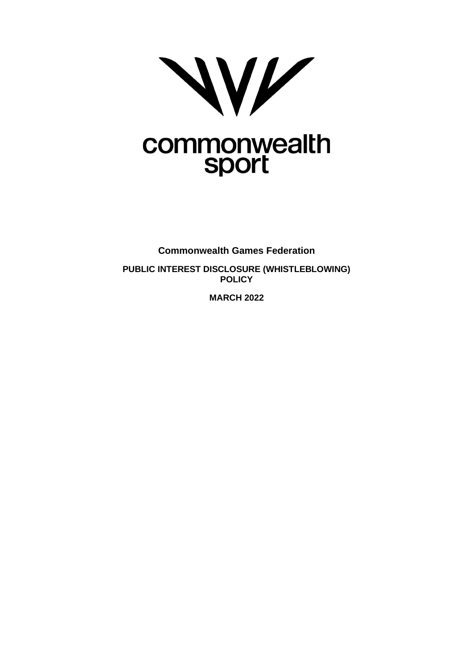

# commonwealth<br>sport

**Commonwealth Games Federation PUBLIC INTEREST DISCLOSURE (WHISTLEBLOWING) POLICY**

**MARCH 2022**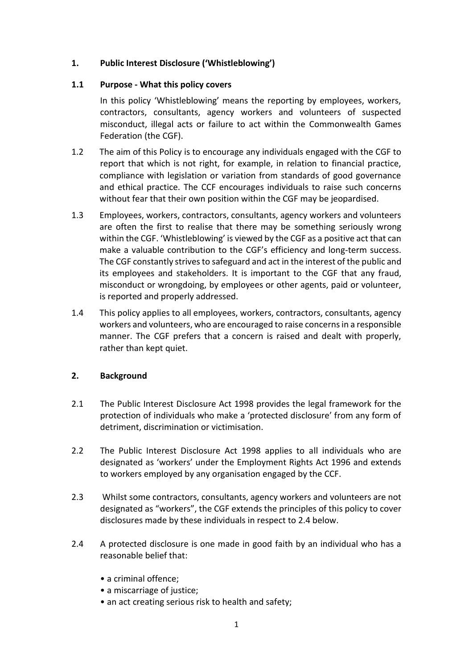# **1. Public Interest Disclosure ('Whistleblowing')**

#### **1.1 Purpose - What this policy covers**

In this policy 'Whistleblowing' means the reporting by employees, workers, contractors, consultants, agency workers and volunteers of suspected misconduct, illegal acts or failure to act within the Commonwealth Games Federation (the CGF).

- 1.2 The aim of this Policy is to encourage any individuals engaged with the CGF to report that which is not right, for example, in relation to financial practice, compliance with legislation or variation from standards of good governance and ethical practice. The CCF encourages individuals to raise such concerns without fear that their own position within the CGF may be jeopardised.
- 1.3 Employees, workers, contractors, consultants, agency workers and volunteers are often the first to realise that there may be something seriously wrong within the CGF. 'Whistleblowing' is viewed by the CGF as a positive act that can make a valuable contribution to the CGF's efficiency and long-term success. The CGF constantly strives to safeguard and act in the interest of the public and its employees and stakeholders. It is important to the CGF that any fraud, misconduct or wrongdoing, by employees or other agents, paid or volunteer, is reported and properly addressed.
- 1.4 This policy applies to all employees, workers, contractors, consultants, agency workers and volunteers, who are encouraged to raise concerns in a responsible manner. The CGF prefers that a concern is raised and dealt with properly, rather than kept quiet.

# **2. Background**

- 2.1 The Public Interest Disclosure Act 1998 provides the legal framework for the protection of individuals who make a 'protected disclosure' from any form of detriment, discrimination or victimisation.
- 2.2 The Public Interest Disclosure Act 1998 applies to all individuals who are designated as 'workers' under the Employment Rights Act 1996 and extends to workers employed by any organisation engaged by the CCF.
- 2.3 Whilst some contractors, consultants, agency workers and volunteers are not designated as "workers", the CGF extends the principles of this policy to cover disclosures made by these individuals in respect to 2.4 below.
- 2.4 A protected disclosure is one made in good faith by an individual who has a reasonable belief that:
	- a criminal offence;
	- a miscarriage of justice;
	- an act creating serious risk to health and safety;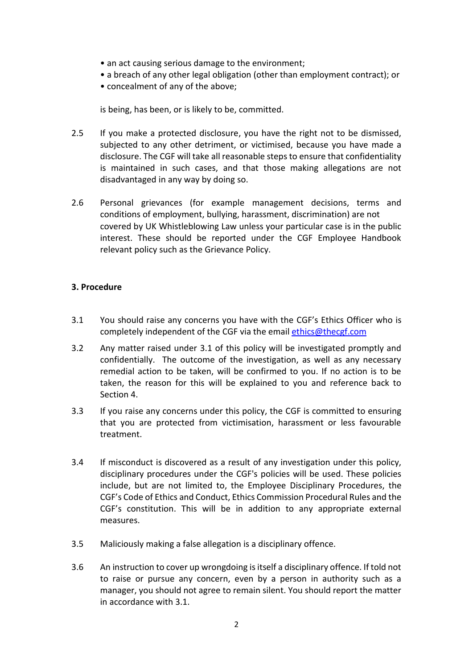- an act causing serious damage to the environment;
- a breach of any other legal obligation (other than employment contract); or
- concealment of any of the above;

is being, has been, or is likely to be, committed.

- 2.5 If you make a protected disclosure, you have the right not to be dismissed, subjected to any other detriment, or victimised, because you have made a disclosure. The CGF will take all reasonable steps to ensure that confidentiality is maintained in such cases, and that those making allegations are not disadvantaged in any way by doing so.
- 2.6 Personal grievances (for example management decisions, terms and conditions of employment, bullying, harassment, discrimination) are not covered by UK Whistleblowing Law unless your particular case is in the public interest. These should be reported under the CGF Employee Handbook relevant policy such as the Grievance Policy.

#### **3. Procedure**

- 3.1 You should raise any concerns you have with the CGF's Ethics Officer who is completely independent of the CGF via the email [ethics@thecgf.com](mailto:ethics@thecgf.com)
- 3.2 Any matter raised under 3.1 of this policy will be investigated promptly and confidentially. The outcome of the investigation, as well as any necessary remedial action to be taken, will be confirmed to you. If no action is to be taken, the reason for this will be explained to you and reference back to Section 4.
- 3.3 If you raise any concerns under this policy, the CGF is committed to ensuring that you are protected from victimisation, harassment or less favourable treatment.
- 3.4 If misconduct is discovered as a result of any investigation under this policy, disciplinary procedures under the CGF's policies will be used. These policies include, but are not limited to, the Employee Disciplinary Procedures, the CGF's Code of Ethics and Conduct, Ethics Commission Procedural Rules and the CGF's constitution. This will be in addition to any appropriate external measures.
- 3.5 Maliciously making a false allegation is a disciplinary offence.
- 3.6 An instruction to cover up wrongdoing is itself a disciplinary offence. If told not to raise or pursue any concern, even by a person in authority such as a manager, you should not agree to remain silent. You should report the matter in accordance with 3.1.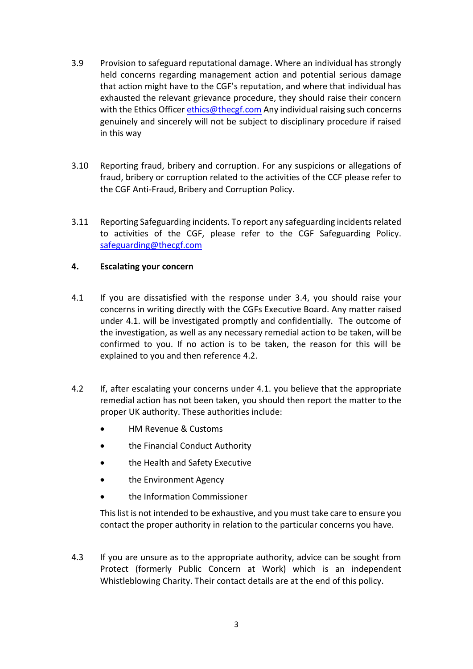- 3.9 Provision to safeguard reputational damage. Where an individual has strongly held concerns regarding management action and potential serious damage that action might have to the CGF's reputation, and where that individual has exhausted the relevant grievance procedure, they should raise their concern with the Ethics Officer [ethics@thecgf.com](mailto:ethics@thecgf.com) Any individual raising such concerns genuinely and sincerely will not be subject to disciplinary procedure if raised in this way
- 3.10 Reporting fraud, bribery and corruption. For any suspicions or allegations of fraud, bribery or corruption related to the activities of the CCF please refer to the CGF Anti-Fraud, Bribery and Corruption Policy.
- 3.11 Reporting Safeguarding incidents. To report any safeguarding incidents related to activities of the CGF, please refer to the CGF Safeguarding Policy. [safeguarding@thecgf.com](mailto:safeguarding@thecgf.com)

#### **4. Escalating your concern**

- 4.1 If you are dissatisfied with the response under 3.4, you should raise your concerns in writing directly with the CGFs Executive Board. Any matter raised under 4.1. will be investigated promptly and confidentially. The outcome of the investigation, as well as any necessary remedial action to be taken, will be confirmed to you. If no action is to be taken, the reason for this will be explained to you and then reference 4.2.
- 4.2 If, after escalating your concerns under 4.1. you believe that the appropriate remedial action has not been taken, you should then report the matter to the proper UK authority. These authorities include:
	- HM Revenue & Customs
	- the Financial Conduct Authority
	- the Health and Safety Executive
	- the Environment Agency
	- the Information Commissioner

This list is not intended to be exhaustive, and you must take care to ensure you contact the proper authority in relation to the particular concerns you have.

4.3 If you are unsure as to the appropriate authority, advice can be sought from Protect (formerly Public Concern at Work) which is an independent Whistleblowing Charity. Their contact details are at the end of this policy.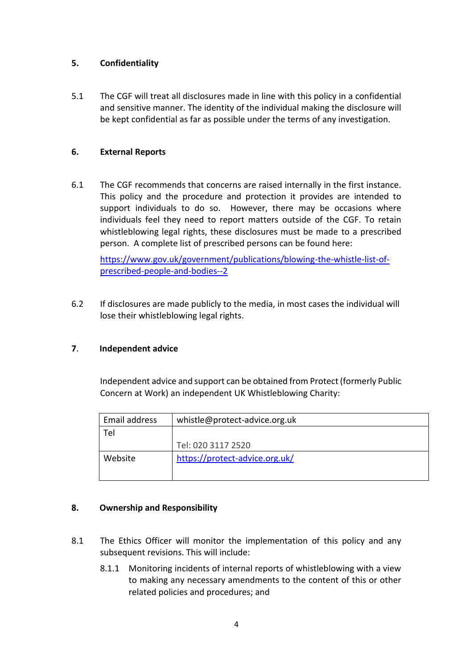# **5. Confidentiality**

5.1 The CGF will treat all disclosures made in line with this policy in a confidential and sensitive manner. The identity of the individual making the disclosure will be kept confidential as far as possible under the terms of any investigation.

#### **6. External Reports**

6.1 The CGF recommends that concerns are raised internally in the first instance. This policy and the procedure and protection it provides are intended to support individuals to do so. However, there may be occasions where individuals feel they need to report matters outside of the CGF. To retain whistleblowing legal rights, these disclosures must be made to a prescribed person. A complete list of prescribed persons can be found here:

[https://www.gov.uk/government/publications/blowing-the-whistle-list-of](https://www.gov.uk/government/publications/blowing-the-whistle-list-of-prescribed-people-and-bodies--2)[prescribed-people-and-bodies--2](https://www.gov.uk/government/publications/blowing-the-whistle-list-of-prescribed-people-and-bodies--2)

6.2 If disclosures are made publicly to the media, in most cases the individual will lose their whistleblowing legal rights.

# **7**. **Independent advice**

Independent advice and support can be obtained from Protect (formerly Public Concern at Work) an independent UK Whistleblowing Charity:

| Email address | whistle@protect-advice.org.uk  |
|---------------|--------------------------------|
| Tel           |                                |
|               | Tel: 020 3117 2520             |
| Website       | https://protect-advice.org.uk/ |
|               |                                |

# **8. Ownership and Responsibility**

- 8.1 The Ethics Officer will monitor the implementation of this policy and any subsequent revisions. This will include:
	- 8.1.1 Monitoring incidents of internal reports of whistleblowing with a view to making any necessary amendments to the content of this or other related policies and procedures; and